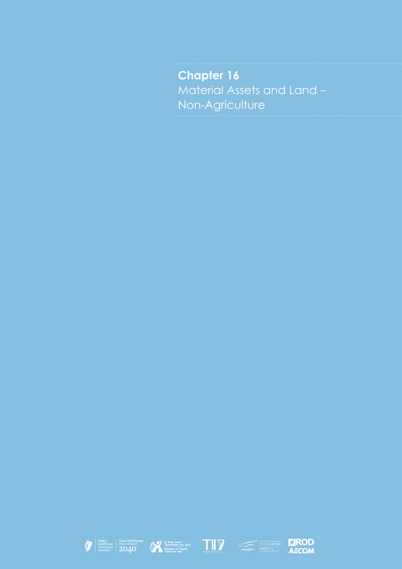**Chapter 16** Material Assets and Land – Non-Agriculture









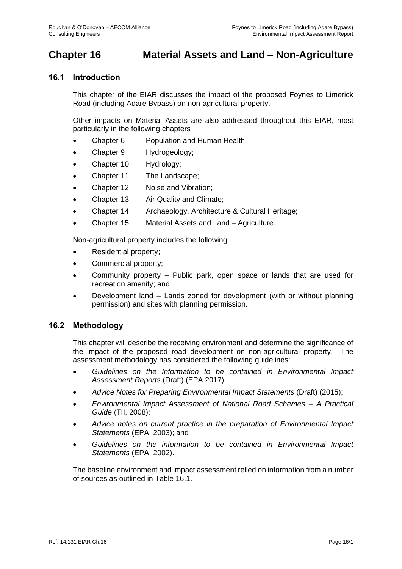# **Chapter 16 Material Assets and Land – Non-Agriculture**

# **16.1 Introduction**

This chapter of the EIAR discusses the impact of the proposed Foynes to Limerick Road (including Adare Bypass) on non-agricultural property.

Other impacts on Material Assets are also addressed throughout this EIAR, most particularly in the following chapters

- Chapter 6 Population and Human Health;
- Chapter 9 Hydrogeology;
- Chapter 10 Hydrology;
- Chapter 11 The Landscape;
- Chapter 12 Noise and Vibration;
- Chapter 13 Air Quality and Climate;
- Chapter 14 Archaeology, Architecture & Cultural Heritage;
- Chapter 15 Material Assets and Land Agriculture.

Non-agricultural property includes the following:

- Residential property;
- Commercial property;
- Community property Public park, open space or lands that are used for recreation amenity; and
- Development land Lands zoned for development (with or without planning permission) and sites with planning permission.

### **16.2 Methodology**

This chapter will describe the receiving environment and determine the significance of the impact of the proposed road development on non-agricultural property. The assessment methodology has considered the following guidelines:

- *Guidelines on the Information to be contained in Environmental Impact Assessment Reports* (Draft) (EPA 2017);
- *Advice Notes for Preparing Environmental Impact Statements* (Draft) (2015);
- *Environmental Impact Assessment of National Road Schemes – A Practical Guide* (TII, 2008);
- *Advice notes on current practice in the preparation of Environmental Impact Statements* (EPA, 2003); and
- *Guidelines on the information to be contained in Environmental Impact Statements* (EPA, 2002).

The baseline environment and impact assessment relied on information from a number of sources as outlined in [Table 16.1.](#page-2-0)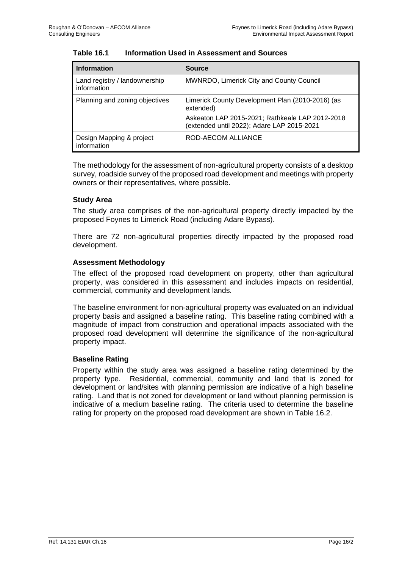<span id="page-2-0"></span>

| <b>Table 16.1</b> | Information Used in Assessment and Sources |
|-------------------|--------------------------------------------|
|-------------------|--------------------------------------------|

| <b>Information</b>                           | <b>Source</b>                                                                                 |
|----------------------------------------------|-----------------------------------------------------------------------------------------------|
| Land registry / landownership<br>information | <b>MWNRDO, Limerick City and County Council</b>                                               |
| Planning and zoning objectives               | Limerick County Development Plan (2010-2016) (as<br>extended)                                 |
|                                              | Askeaton LAP 2015-2021; Rathkeale LAP 2012-2018<br>(extended until 2022); Adare LAP 2015-2021 |
| Design Mapping & project<br>information      | ROD-AECOM ALLIANCE                                                                            |

The methodology for the assessment of non-agricultural property consists of a desktop survey, roadside survey of the proposed road development and meetings with property owners or their representatives, where possible.

### **Study Area**

The study area comprises of the non-agricultural property directly impacted by the proposed Foynes to Limerick Road (including Adare Bypass).

There are 72 non-agricultural properties directly impacted by the proposed road development.

### **Assessment Methodology**

The effect of the proposed road development on property, other than agricultural property, was considered in this assessment and includes impacts on residential, commercial, community and development lands.

The baseline environment for non-agricultural property was evaluated on an individual property basis and assigned a baseline rating. This baseline rating combined with a magnitude of impact from construction and operational impacts associated with the proposed road development will determine the significance of the non-agricultural property impact.

### **Baseline Rating**

Property within the study area was assigned a baseline rating determined by the property type. Residential, commercial, community and land that is zoned for development or land/sites with planning permission are indicative of a high baseline rating. Land that is not zoned for development or land without planning permission is indicative of a medium baseline rating. The criteria used to determine the baseline rating for property on the proposed road development are shown in [Table 16.2.](#page-3-0)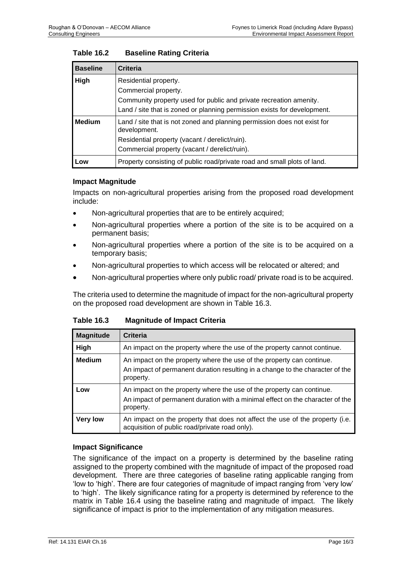| <b>Baseline</b> | <b>Criteria</b>                                                                          |  |  |  |  |  |
|-----------------|------------------------------------------------------------------------------------------|--|--|--|--|--|
| High            | Residential property.                                                                    |  |  |  |  |  |
|                 | Commercial property.                                                                     |  |  |  |  |  |
|                 | Community property used for public and private recreation amenity.                       |  |  |  |  |  |
|                 | Land / site that is zoned or planning permission exists for development.                 |  |  |  |  |  |
| <b>Medium</b>   | Land / site that is not zoned and planning permission does not exist for<br>development. |  |  |  |  |  |
|                 | Residential property (vacant / derelict/ruin).                                           |  |  |  |  |  |
|                 | Commercial property (vacant / derelict/ruin).                                            |  |  |  |  |  |
| LOW             | Property consisting of public road/private road and small plots of land.                 |  |  |  |  |  |

### <span id="page-3-0"></span>**Table 16.2 Baseline Rating Criteria**

### **Impact Magnitude**

Impacts on non-agricultural properties arising from the proposed road development include:

- Non-agricultural properties that are to be entirely acquired;
- Non-agricultural properties where a portion of the site is to be acquired on a permanent basis;
- Non-agricultural properties where a portion of the site is to be acquired on a temporary basis;
- Non-agricultural properties to which access will be relocated or altered; and
- Non-agricultural properties where only public road/ private road is to be acquired.

The criteria used to determine the magnitude of impact for the non-agricultural property on the proposed road development are shown in [Table 16.3.](#page-3-1)

<span id="page-3-1"></span>

| <b>Table 16.3</b> | <b>Magnitude of Impact Criteria</b> |  |
|-------------------|-------------------------------------|--|
|-------------------|-------------------------------------|--|

| <b>Magnitude</b> | Criteria                                                                                                                                                            |
|------------------|---------------------------------------------------------------------------------------------------------------------------------------------------------------------|
| High             | An impact on the property where the use of the property cannot continue.                                                                                            |
| <b>Medium</b>    | An impact on the property where the use of the property can continue.<br>An impact of permanent duration resulting in a change to the character of the<br>property. |
| Low              | An impact on the property where the use of the property can continue.<br>An impact of permanent duration with a minimal effect on the character of the<br>property. |
| <b>Very low</b>  | An impact on the property that does not affect the use of the property (i.e.<br>acquisition of public road/private road only).                                      |

### **Impact Significance**

The significance of the impact on a property is determined by the baseline rating assigned to the property combined with the magnitude of impact of the proposed road development. There are three categories of baseline rating applicable ranging from 'low to 'high'. There are four categories of magnitude of impact ranging from 'very low' to 'high'. The likely significance rating for a property is determined by reference to the matrix in [Table 16.4](#page-4-0) using the baseline rating and magnitude of impact. The likely significance of impact is prior to the implementation of any mitigation measures.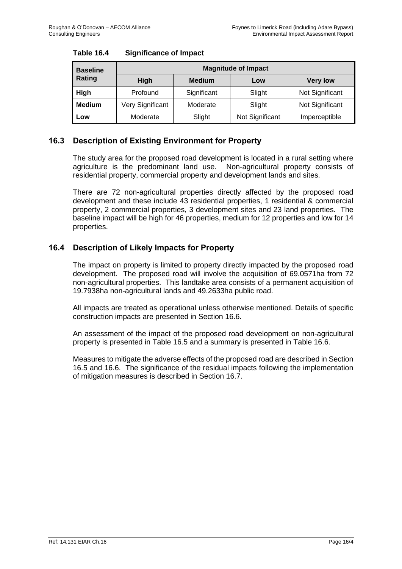| <b>Baseline</b><br>Rating | <b>Magnitude of Impact</b> |               |                 |                 |  |  |  |  |  |  |
|---------------------------|----------------------------|---------------|-----------------|-----------------|--|--|--|--|--|--|
|                           | <b>High</b>                | <b>Medium</b> | Low             | <b>Very low</b> |  |  |  |  |  |  |
| High                      | Profound                   | Significant   | Slight          | Not Significant |  |  |  |  |  |  |
| <b>Medium</b>             | Very Significant           | Moderate      | Slight          | Not Significant |  |  |  |  |  |  |
| Low                       | Moderate                   | Slight        | Not Significant | Imperceptible   |  |  |  |  |  |  |

### <span id="page-4-0"></span>**Table 16.4 Significance of Impact**

# **16.3 Description of Existing Environment for Property**

The study area for the proposed road development is located in a rural setting where agriculture is the predominant land use. Non-agricultural property consists of residential property, commercial property and development lands and sites.

There are 72 non-agricultural properties directly affected by the proposed road development and these include 43 residential properties, 1 residential & commercial property, 2 commercial properties, 3 development sites and 23 land properties. The baseline impact will be high for 46 properties, medium for 12 properties and low for 14 properties.

# **16.4 Description of Likely Impacts for Property**

The impact on property is limited to property directly impacted by the proposed road development. The proposed road will involve the acquisition of 69.0571ha from 72 non-agricultural properties. This landtake area consists of a permanent acquisition of 19.7938ha non-agricultural lands and 49.2633ha public road.

All impacts are treated as operational unless otherwise mentioned. Details of specific construction impacts are presented in Section 16.6.

An assessment of the impact of the proposed road development on non-agricultural property is presented in [Table 16.5](#page-5-0) and a summary is presented in [Table 16.6.](#page-11-0)

Measures to mitigate the adverse effects of the proposed road are described in Section 16.5 and 16.6. The significance of the residual impacts following the implementation of mitigation measures is described in Section 16.7.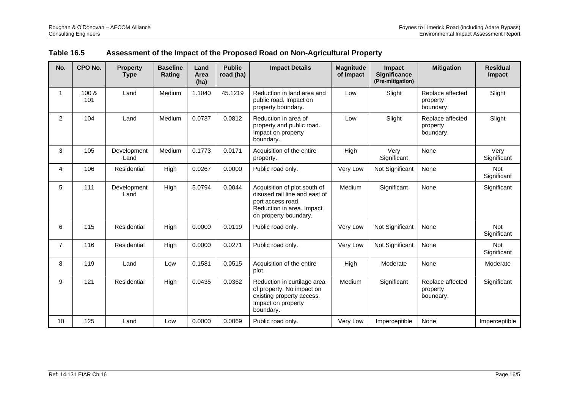<span id="page-5-0"></span>

| No.            | CPO No.      | <b>Property</b><br><b>Type</b> | <b>Baseline</b><br>Rating | Land<br>Area<br>(ha) | <b>Public</b><br>road (ha) | <b>Impact Details</b>                                                                                                                    | <b>Magnitude</b><br>of Impact | Impact<br><b>Significance</b><br>(Pre-mitigation) | <b>Mitigation</b>                         | <b>Residual</b><br><b>Impact</b> |
|----------------|--------------|--------------------------------|---------------------------|----------------------|----------------------------|------------------------------------------------------------------------------------------------------------------------------------------|-------------------------------|---------------------------------------------------|-------------------------------------------|----------------------------------|
| 1              | 100 &<br>101 | Land                           | Medium                    | 1.1040               | 45.1219                    | Reduction in land area and<br>public road. Impact on<br>property boundary.                                                               | Low                           | Slight                                            | Replace affected<br>property<br>boundary. | Slight                           |
| $\overline{2}$ | 104          | Land                           | Medium                    | 0.0737               | 0.0812                     | Reduction in area of<br>property and public road.<br>Impact on property<br>boundary.                                                     | Low                           | Slight                                            | Replace affected<br>property<br>boundary. | Slight                           |
| 3              | 105          | Development<br>Land            | Medium                    | 0.1773               | 0.0171                     | Acquisition of the entire<br>property.                                                                                                   | High                          | Very<br>Significant                               | None                                      | Very<br>Significant              |
| 4              | 106          | Residential                    | High                      | 0.0267               | 0.0000                     | Public road only.                                                                                                                        | Very Low                      | Not Significant                                   | None                                      | <b>Not</b><br>Significant        |
| 5              | 111          | Development<br>Land            | High                      | 5.0794               | 0.0044                     | Acquisition of plot south of<br>disused rail line and east of<br>port access road.<br>Reduction in area. Impact<br>on property boundary. | Medium                        | Significant                                       | None                                      | Significant                      |
| 6              | 115          | Residential                    | High                      | 0.0000               | 0.0119                     | Public road only.                                                                                                                        | Very Low                      | Not Significant                                   | None                                      | Not<br>Significant               |
| 7              | 116          | Residential                    | High                      | 0.0000               | 0.0271                     | Public road only.                                                                                                                        | Very Low                      | Not Significant                                   | None                                      | Not<br>Significant               |
| 8              | 119          | Land                           | Low                       | 0.1581               | 0.0515                     | Acquisition of the entire<br>plot.                                                                                                       | High                          | Moderate                                          | None                                      | Moderate                         |
| 9              | 121          | Residential                    | High                      | 0.0435               | 0.0362                     | Reduction in curtilage area<br>of property. No impact on<br>existing property access.<br>Impact on property<br>boundary.                 | Medium                        | Significant                                       | Replace affected<br>property<br>boundary. | Significant                      |
| 10             | 125          | Land                           | Low                       | 0.0000               | 0.0069                     | Public road only.                                                                                                                        | Very Low                      | Imperceptible                                     | None                                      | Imperceptible                    |

# **Table 16.5 Assessment of the Impact of the Proposed Road on Non-Agricultural Property**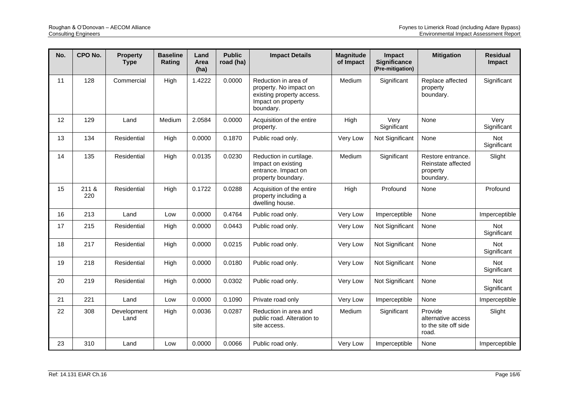| No. | CPO No.      | <b>Property</b><br><b>Type</b> | <b>Baseline</b><br>Rating | Land<br>Area<br>(ha) | <b>Public</b><br>road (ha) | <b>Impact Details</b>                                                                                          | <b>Magnitude</b><br>of Impact | <b>Impact</b><br><b>Significance</b><br>(Pre-mitigation) | <b>Mitigation</b>                                                | <b>Residual</b><br>Impact |
|-----|--------------|--------------------------------|---------------------------|----------------------|----------------------------|----------------------------------------------------------------------------------------------------------------|-------------------------------|----------------------------------------------------------|------------------------------------------------------------------|---------------------------|
| 11  | 128          | Commercial                     | High                      | 1.4222               | 0.0000                     | Reduction in area of<br>property. No impact on<br>existing property access.<br>Impact on property<br>boundary. | Medium                        | Significant                                              | Replace affected<br>property<br>boundary.                        | Significant               |
| 12  | 129          | Land                           | Medium                    | 2.0584               | 0.0000                     | Acquisition of the entire<br>property.                                                                         | High                          | Very<br>Significant                                      | None                                                             | Very<br>Significant       |
| 13  | 134          | Residential                    | High                      | 0.0000               | 0.1870                     | Public road only.                                                                                              | Very Low                      | Not Significant                                          | None                                                             | Not<br>Significant        |
| 14  | 135          | Residential                    | High                      | 0.0135               | 0.0230                     | Reduction in curtilage.<br>Impact on existing<br>entrance. Impact on<br>property boundary.                     | Medium                        | Significant                                              | Restore entrance.<br>Reinstate affected<br>property<br>boundary. | Slight                    |
| 15  | 211 &<br>220 | Residential                    | High                      | 0.1722               | 0.0288                     | Acquisition of the entire<br>property including a<br>dwelling house.                                           | High                          | Profound                                                 | None                                                             | Profound                  |
| 16  | 213          | Land                           | Low                       | 0.0000               | 0.4764                     | Public road only.                                                                                              | Very Low                      | Imperceptible                                            | None                                                             | Imperceptible             |
| 17  | 215          | Residential                    | High                      | 0.0000               | 0.0443                     | Public road only.                                                                                              | Very Low                      | Not Significant                                          | None                                                             | <b>Not</b><br>Significant |
| 18  | 217          | Residential                    | High                      | 0.0000               | 0.0215                     | Public road only.                                                                                              | Very Low                      | Not Significant                                          | None                                                             | Not<br>Significant        |
| 19  | 218          | Residential                    | High                      | 0.0000               | 0.0180                     | Public road only.                                                                                              | Very Low                      | Not Significant                                          | None                                                             | Not<br>Significant        |
| 20  | 219          | Residential                    | High                      | 0.0000               | 0.0302                     | Public road only.                                                                                              | Very Low                      | Not Significant                                          | None                                                             | <b>Not</b><br>Significant |
| 21  | 221          | Land                           | Low                       | 0.0000               | 0.1090                     | Private road only                                                                                              | Very Low                      | Imperceptible                                            | None                                                             | Imperceptible             |
| 22  | 308          | Development<br>Land            | High                      | 0.0036               | 0.0287                     | Reduction in area and<br>public road. Alteration to<br>site access.                                            | Medium                        | Significant                                              | Provide<br>alternative access<br>to the site off side<br>road.   | Slight                    |
| 23  | 310          | Land                           | Low                       | 0.0000               | 0.0066                     | Public road only.                                                                                              | Very Low                      | Imperceptible                                            | None                                                             | Imperceptible             |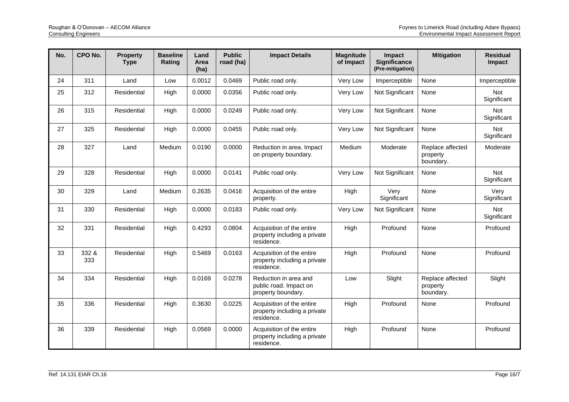| No. | CPO No.      | <b>Property</b><br><b>Type</b> | <b>Baseline</b><br>Rating | Land<br>Area<br>(ha) | <b>Public</b><br>road (ha) | <b>Impact Details</b>                                                   | <b>Magnitude</b><br>of Impact | Impact<br><b>Significance</b><br>(Pre-mitigation) | <b>Mitigation</b>                         | <b>Residual</b><br>Impact |
|-----|--------------|--------------------------------|---------------------------|----------------------|----------------------------|-------------------------------------------------------------------------|-------------------------------|---------------------------------------------------|-------------------------------------------|---------------------------|
| 24  | 311          | Land                           | Low                       | 0.0012               | 0.0469                     | Public road only.                                                       | Very Low                      | Imperceptible                                     | None                                      | Imperceptible             |
| 25  | 312          | Residential                    | High                      | 0.0000               | 0.0356                     | Public road only.                                                       | Very Low                      | Not Significant                                   | None                                      | Not<br>Significant        |
| 26  | 315          | Residential                    | High                      | 0.0000               | 0.0249                     | Public road only.                                                       | Very Low                      | Not Significant                                   | None                                      | Not<br>Significant        |
| 27  | 325          | Residential                    | High                      | 0.0000               | 0.0455                     | Public road only.                                                       | Very Low                      | Not Significant                                   | None                                      | Not<br>Significant        |
| 28  | 327          | Land                           | Medium                    | 0.0190               | 0.0000                     | Reduction in area. Impact<br>on property boundary.                      | Medium                        | Moderate                                          | Replace affected<br>property<br>boundary. | Moderate                  |
| 29  | 328          | Residential                    | High                      | 0.0000               | 0.0141                     | Public road only.                                                       | Very Low                      | Not Significant                                   | None                                      | Not<br>Significant        |
| 30  | 329          | Land                           | Medium                    | 0.2635               | 0.0416                     | Acquisition of the entire<br>property.                                  | High                          | Very<br>Significant                               | None                                      | Verv<br>Significant       |
| 31  | 330          | Residential                    | High                      | 0.0000               | 0.0183                     | Public road only.                                                       | Very Low                      | Not Significant                                   | None                                      | Not<br>Significant        |
| 32  | 331          | Residential                    | High                      | 0.4293               | 0.0804                     | Acquisition of the entire<br>property including a private<br>residence. | High                          | Profound                                          | None                                      | Profound                  |
| 33  | 332 &<br>333 | Residential                    | High                      | 0.5469               | 0.0163                     | Acquisition of the entire<br>property including a private<br>residence. | High                          | Profound                                          | None                                      | Profound                  |
| 34  | 334          | Residential                    | High                      | 0.0169               | 0.0278                     | Reduction in area and<br>public road. Impact on<br>property boundary.   | Low                           | Slight                                            | Replace affected<br>property<br>boundary. | Slight                    |
| 35  | 336          | Residential                    | High                      | 0.3630               | 0.0225                     | Acquisition of the entire<br>property including a private<br>residence. | High                          | Profound                                          | None                                      | Profound                  |
| 36  | 339          | Residential                    | High                      | 0.0569               | 0.0000                     | Acquisition of the entire<br>property including a private<br>residence. | High                          | Profound                                          | None                                      | Profound                  |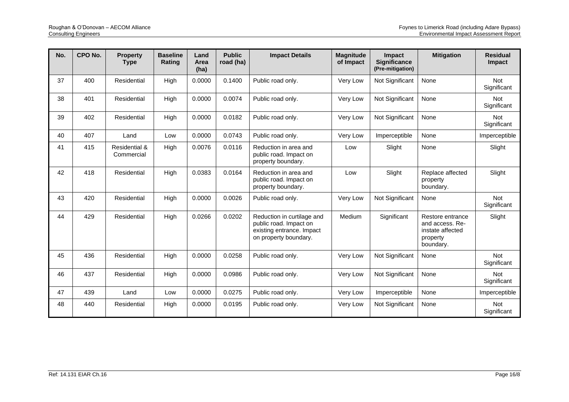| No. | CPO No. | <b>Property</b><br><b>Type</b>         | <b>Baseline</b><br>Rating | Land<br>Area<br>(ha) | <b>Public</b><br>road (ha) | <b>Impact Details</b>                                                                                      | <b>Magnitude</b><br>of Impact | Impact<br><b>Significance</b><br>(Pre-mitigation) | <b>Mitigation</b>                                                                | <b>Residual</b><br>Impact |
|-----|---------|----------------------------------------|---------------------------|----------------------|----------------------------|------------------------------------------------------------------------------------------------------------|-------------------------------|---------------------------------------------------|----------------------------------------------------------------------------------|---------------------------|
| 37  | 400     | Residential                            | High                      | 0.0000               | 0.1400                     | Public road only.                                                                                          | Very Low                      | Not Significant                                   | None                                                                             | <b>Not</b><br>Significant |
| 38  | 401     | Residential                            | High                      | 0.0000               | 0.0074                     | Public road only.                                                                                          | Very Low                      | Not Significant                                   | None                                                                             | <b>Not</b><br>Significant |
| 39  | 402     | Residential                            | High                      | 0.0000               | 0.0182                     | Public road only.                                                                                          | Very Low                      | Not Significant                                   | None                                                                             | Not<br>Significant        |
| 40  | 407     | Land                                   | Low                       | 0.0000               | 0.0743                     | Public road only.                                                                                          | Very Low                      | Imperceptible                                     | None                                                                             | Imperceptible             |
| 41  | 415     | <b>Residential &amp;</b><br>Commercial | High                      | 0.0076               | 0.0116                     | Reduction in area and<br>public road. Impact on<br>property boundary.                                      | Low                           | Slight                                            | None                                                                             | Slight                    |
| 42  | 418     | Residential                            | High                      | 0.0383               | 0.0164                     | Reduction in area and<br>public road. Impact on<br>property boundary.                                      | Low                           | Slight                                            | Replace affected<br>property<br>boundary.                                        | Slight                    |
| 43  | 420     | Residential                            | High                      | 0.0000               | 0.0026                     | Public road only.                                                                                          | Very Low                      | Not Significant                                   | None                                                                             | <b>Not</b><br>Significant |
| 44  | 429     | Residential                            | High                      | 0.0266               | 0.0202                     | Reduction in curtilage and<br>public road. Impact on<br>existing entrance. Impact<br>on property boundary. | Medium                        | Significant                                       | Restore entrance<br>and access. Re-<br>instate affected<br>property<br>boundary. | Slight                    |
| 45  | 436     | Residential                            | High                      | 0.0000               | 0.0258                     | Public road only.                                                                                          | Very Low                      | Not Significant                                   | None                                                                             | Not<br>Significant        |
| 46  | 437     | Residential                            | High                      | 0.0000               | 0.0986                     | Public road only.                                                                                          | Very Low                      | Not Significant                                   | None                                                                             | Not<br>Significant        |
| 47  | 439     | Land                                   | Low                       | 0.0000               | 0.0275                     | Public road only.                                                                                          | Very Low                      | Imperceptible                                     | None                                                                             | Imperceptible             |
| 48  | 440     | Residential                            | High                      | 0.0000               | 0.0195                     | Public road only.                                                                                          | Very Low                      | Not Significant                                   | None                                                                             | Not<br>Significant        |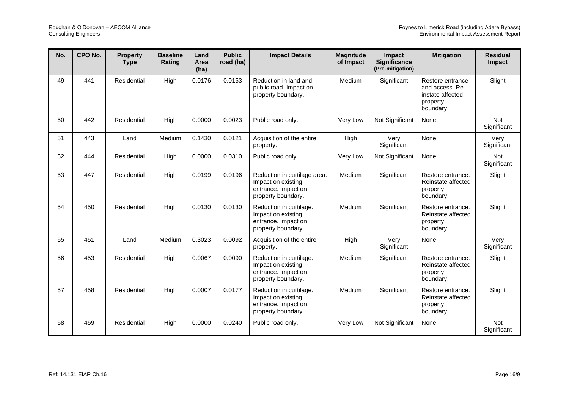| No. | CPO No. | <b>Property</b><br><b>Type</b> | <b>Baseline</b><br>Rating | Land<br>Area<br>(ha) | <b>Public</b><br>road (ha) | <b>Impact Details</b>                                                                           | <b>Magnitude</b><br>of Impact | <b>Impact</b><br>Significance<br>(Pre-mitigation) | <b>Mitigation</b>                                                                | <b>Residual</b><br>Impact |
|-----|---------|--------------------------------|---------------------------|----------------------|----------------------------|-------------------------------------------------------------------------------------------------|-------------------------------|---------------------------------------------------|----------------------------------------------------------------------------------|---------------------------|
| 49  | 441     | Residential                    | High                      | 0.0176               | 0.0153                     | Reduction in land and<br>public road. Impact on<br>property boundary.                           | Medium                        | Significant                                       | Restore entrance<br>and access. Re-<br>instate affected<br>property<br>boundary. | Slight                    |
| 50  | 442     | Residential                    | High                      | 0.0000               | 0.0023                     | Public road only.                                                                               | Very Low                      | Not Significant                                   | None                                                                             | <b>Not</b><br>Significant |
| 51  | 443     | Land                           | Medium                    | 0.1430               | 0.0121                     | Acquisition of the entire<br>property.                                                          | High                          | Very<br>Significant                               | None                                                                             | Very<br>Significant       |
| 52  | 444     | Residential                    | High                      | 0.0000               | 0.0310                     | Public road only.                                                                               | Very Low                      | Not Significant                                   | None                                                                             | <b>Not</b><br>Significant |
| 53  | 447     | Residential                    | High                      | 0.0199               | 0.0196                     | Reduction in curtilage area.<br>Impact on existing<br>entrance. Impact on<br>property boundary. | Medium                        | Significant                                       | Restore entrance.<br>Reinstate affected<br>property<br>boundary.                 | Slight                    |
| 54  | 450     | Residential                    | High                      | 0.0130               | 0.0130                     | Reduction in curtilage.<br>Impact on existing<br>entrance. Impact on<br>property boundary.      | Medium                        | Significant                                       | Restore entrance.<br>Reinstate affected<br>property<br>boundary.                 | Slight                    |
| 55  | 451     | Land                           | Medium                    | 0.3023               | 0.0092                     | Acquisition of the entire<br>property.                                                          | High                          | Very<br>Significant                               | None                                                                             | Very<br>Significant       |
| 56  | 453     | Residential                    | High                      | 0.0067               | 0.0090                     | Reduction in curtilage.<br>Impact on existing<br>entrance. Impact on<br>property boundary.      | Medium                        | Significant                                       | Restore entrance.<br>Reinstate affected<br>property<br>boundary.                 | Slight                    |
| 57  | 458     | Residential                    | High                      | 0.0007               | 0.0177                     | Reduction in curtilage.<br>Impact on existing<br>entrance. Impact on<br>property boundary.      | Medium                        | Significant                                       | Restore entrance.<br>Reinstate affected<br>property<br>boundary.                 | Slight                    |
| 58  | 459     | Residential                    | High                      | 0.0000               | 0.0240                     | Public road only.                                                                               | Very Low                      | Not Significant                                   | None                                                                             | <b>Not</b><br>Significant |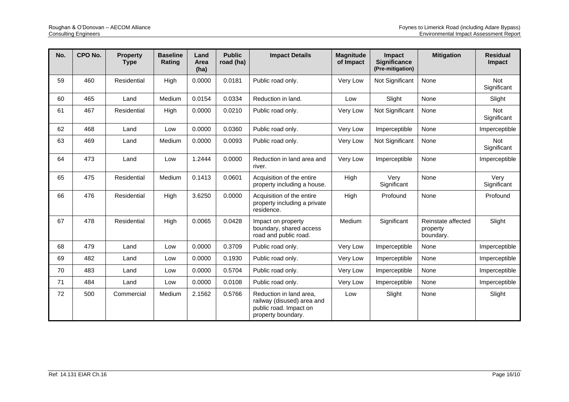| No. | CPO No. | <b>Property</b><br><b>Type</b> | <b>Baseline</b><br>Rating | Land<br>Area<br>(ha) | <b>Public</b><br>road (ha) | <b>Impact Details</b>                                                                                 | <b>Magnitude</b><br>of Impact | Impact<br><b>Significance</b><br>(Pre-mitigation) | <b>Mitigation</b>                           | <b>Residual</b><br><b>Impact</b> |
|-----|---------|--------------------------------|---------------------------|----------------------|----------------------------|-------------------------------------------------------------------------------------------------------|-------------------------------|---------------------------------------------------|---------------------------------------------|----------------------------------|
| 59  | 460     | Residential                    | High                      | 0.0000               | 0.0181                     | Public road only.                                                                                     | Very Low                      | Not Significant                                   | None                                        | <b>Not</b><br>Significant        |
| 60  | 465     | Land                           | Medium                    | 0.0154               | 0.0334                     | Reduction in land.                                                                                    | Low                           | Slight                                            | None                                        | Slight                           |
| 61  | 467     | Residential                    | High                      | 0.0000               | 0.0210                     | Public road only.                                                                                     | Very Low                      | Not Significant                                   | None                                        | Not<br>Significant               |
| 62  | 468     | Land                           | Low                       | 0.0000               | 0.0360                     | Public road only.                                                                                     | Very Low                      | Imperceptible                                     | None                                        | Imperceptible                    |
| 63  | 469     | Land                           | Medium                    | 0.0000               | 0.0093                     | Public road only.                                                                                     | Very Low                      | Not Significant                                   | None                                        | Not<br>Significant               |
| 64  | 473     | Land                           | Low                       | 1.2444               | 0.0000                     | Reduction in land area and<br>river.                                                                  | Very Low                      | Imperceptible                                     | None                                        | Imperceptible                    |
| 65  | 475     | Residential                    | Medium                    | 0.1413               | 0.0601                     | Acquisition of the entire<br>property including a house.                                              | High                          | Very<br>Significant                               | None                                        | Very<br>Significant              |
| 66  | 476     | Residential                    | High                      | 3.6250               | 0.0000                     | Acquisition of the entire<br>property including a private<br>residence.                               | High                          | Profound                                          | None                                        | Profound                         |
| 67  | 478     | Residential                    | High                      | 0.0065               | 0.0428                     | Impact on property<br>boundary, shared access<br>road and public road.                                | Medium                        | Significant                                       | Reinstate affected<br>property<br>boundary. | Slight                           |
| 68  | 479     | Land                           | Low                       | 0.0000               | 0.3709                     | Public road only.                                                                                     | Very Low                      | Imperceptible                                     | None                                        | Imperceptible                    |
| 69  | 482     | Land                           | Low                       | 0.0000               | 0.1930                     | Public road only.                                                                                     | Very Low                      | Imperceptible                                     | None                                        | Imperceptible                    |
| 70  | 483     | Land                           | Low                       | 0.0000               | 0.5704                     | Public road only.                                                                                     | Very Low                      | Imperceptible                                     | None                                        | Imperceptible                    |
| 71  | 484     | Land                           | Low                       | 0.0000               | 0.0108                     | Public road only.                                                                                     | Very Low                      | Imperceptible                                     | None                                        | Imperceptible                    |
| 72  | 500     | Commercial                     | Medium                    | 2.1562               | 0.5766                     | Reduction in land area,<br>railway (disused) area and<br>public road. Impact on<br>property boundary. | Low                           | Slight                                            | None                                        | Slight                           |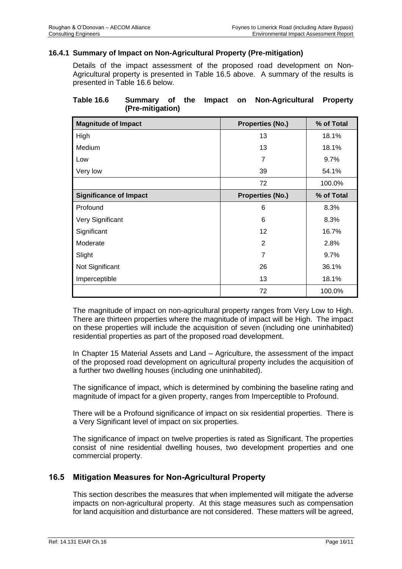### **16.4.1 Summary of Impact on Non-Agricultural Property (Pre-mitigation)**

Details of the impact assessment of the proposed road development on Non-Agricultural property is presented in [Table 16.5](#page-5-0) above. A summary of the results is presented in [Table 16.6](#page-11-0) below.

### <span id="page-11-0"></span>**Table 16.6 Summary of the Impact on Non-Agricultural Property (Pre-mitigation)**

| <b>Magnitude of Impact</b>    | <b>Properties (No.)</b> | % of Total |
|-------------------------------|-------------------------|------------|
| High                          | 13                      | 18.1%      |
| Medium                        | 13                      | 18.1%      |
| Low                           | 7                       | 9.7%       |
| Very low                      | 39                      | 54.1%      |
|                               | 72                      | 100.0%     |
| <b>Significance of Impact</b> | <b>Properties (No.)</b> | % of Total |
| Profound                      | 6                       | 8.3%       |
| Very Significant              | 6                       | 8.3%       |
| Significant                   | 12                      | 16.7%      |
| Moderate                      | 2                       | 2.8%       |
| Slight                        | 7                       | 9.7%       |
| Not Significant               | 26                      | 36.1%      |
| Imperceptible                 | 13                      | 18.1%      |
|                               | 72                      | 100.0%     |

The magnitude of impact on non-agricultural property ranges from Very Low to High. There are thirteen properties where the magnitude of impact will be High. The impact on these properties will include the acquisition of seven (including one uninhabited) residential properties as part of the proposed road development.

In Chapter 15 Material Assets and Land – Agriculture, the assessment of the impact of the proposed road development on agricultural property includes the acquisition of a further two dwelling houses (including one uninhabited).

The significance of impact, which is determined by combining the baseline rating and magnitude of impact for a given property, ranges from Imperceptible to Profound.

There will be a Profound significance of impact on six residential properties. There is a Very Significant level of impact on six properties.

The significance of impact on twelve properties is rated as Significant. The properties consist of nine residential dwelling houses, two development properties and one commercial property.

### **16.5 Mitigation Measures for Non-Agricultural Property**

This section describes the measures that when implemented will mitigate the adverse impacts on non-agricultural property. At this stage measures such as compensation for land acquisition and disturbance are not considered. These matters will be agreed,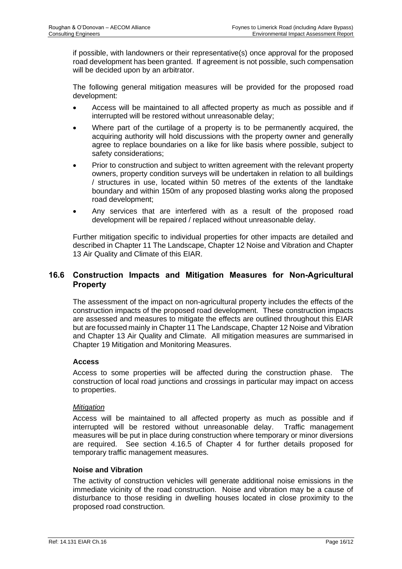if possible, with landowners or their representative(s) once approval for the proposed road development has been granted. If agreement is not possible, such compensation will be decided upon by an arbitrator.

The following general mitigation measures will be provided for the proposed road development:

- Access will be maintained to all affected property as much as possible and if interrupted will be restored without unreasonable delay;
- Where part of the curtilage of a property is to be permanently acquired, the acquiring authority will hold discussions with the property owner and generally agree to replace boundaries on a like for like basis where possible, subject to safety considerations;
- Prior to construction and subject to written agreement with the relevant property owners, property condition surveys will be undertaken in relation to all buildings / structures in use, located within 50 metres of the extents of the landtake boundary and within 150m of any proposed blasting works along the proposed road development;
- Any services that are interfered with as a result of the proposed road development will be repaired / replaced without unreasonable delay.

Further mitigation specific to individual properties for other impacts are detailed and described in Chapter 11 The Landscape, Chapter 12 Noise and Vibration and Chapter 13 Air Quality and Climate of this EIAR.

### **16.6 Construction Impacts and Mitigation Measures for Non-Agricultural Property**

The assessment of the impact on non-agricultural property includes the effects of the construction impacts of the proposed road development. These construction impacts are assessed and measures to mitigate the effects are outlined throughout this EIAR but are focussed mainly in Chapter 11 The Landscape, Chapter 12 Noise and Vibration and Chapter 13 Air Quality and Climate. All mitigation measures are summarised in Chapter 19 Mitigation and Monitoring Measures.

### **Access**

Access to some properties will be affected during the construction phase. The construction of local road junctions and crossings in particular may impact on access to properties.

### *Mitigation*

Access will be maintained to all affected property as much as possible and if interrupted will be restored without unreasonable delay. Traffic management measures will be put in place during construction where temporary or minor diversions are required. See section 4.16.5 of Chapter 4 for further details proposed for temporary traffic management measures.

### **Noise and Vibration**

The activity of construction vehicles will generate additional noise emissions in the immediate vicinity of the road construction. Noise and vibration may be a cause of disturbance to those residing in dwelling houses located in close proximity to the proposed road construction.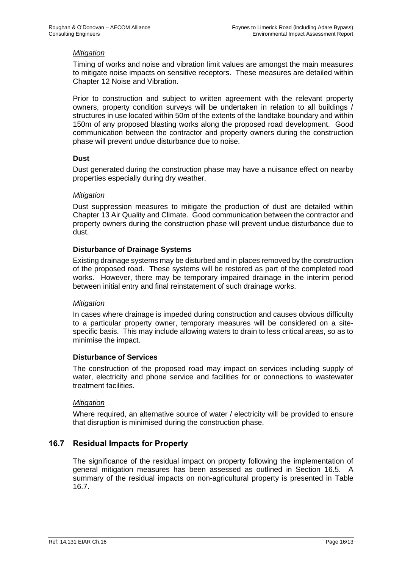### *Mitigation*

Timing of works and noise and vibration limit values are amongst the main measures to mitigate noise impacts on sensitive receptors. These measures are detailed within Chapter 12 Noise and Vibration.

Prior to construction and subject to written agreement with the relevant property owners, property condition surveys will be undertaken in relation to all buildings / structures in use located within 50m of the extents of the landtake boundary and within 150m of any proposed blasting works along the proposed road development. Good communication between the contractor and property owners during the construction phase will prevent undue disturbance due to noise.

#### **Dust**

Dust generated during the construction phase may have a nuisance effect on nearby properties especially during dry weather.

#### *Mitigation*

Dust suppression measures to mitigate the production of dust are detailed within Chapter 13 Air Quality and Climate. Good communication between the contractor and property owners during the construction phase will prevent undue disturbance due to dust.

### **Disturbance of Drainage Systems**

Existing drainage systems may be disturbed and in places removed by the construction of the proposed road. These systems will be restored as part of the completed road works. However, there may be temporary impaired drainage in the interim period between initial entry and final reinstatement of such drainage works.

#### *Mitigation*

In cases where drainage is impeded during construction and causes obvious difficulty to a particular property owner, temporary measures will be considered on a sitespecific basis. This may include allowing waters to drain to less critical areas, so as to minimise the impact.

#### **Disturbance of Services**

The construction of the proposed road may impact on services including supply of water, electricity and phone service and facilities for or connections to wastewater treatment facilities.

#### *Mitigation*

Where required, an alternative source of water / electricity will be provided to ensure that disruption is minimised during the construction phase.

### **16.7 Residual Impacts for Property**

The significance of the residual impact on property following the implementation of general mitigation measures has been assessed as outlined in Section 16.5. A summary of the residual impacts on non-agricultural property is presented in [Table](#page-14-0)  [16.7.](#page-14-0)